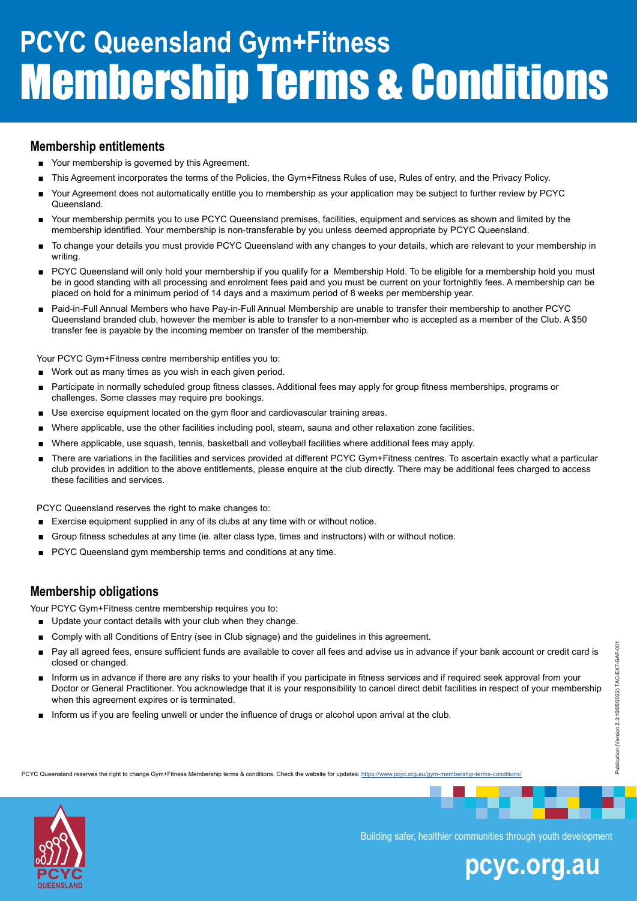### **Membership entitlements**

- Your membership is governed by this Agreement.
- This Agreement incorporates the terms of the Policies, the Gym+Fitness Rules of use, Rules of entry, and the Privacy Policy.
- Your Agreement does not automatically entitle you to membership as your application may be subject to further review by PCYC Queensland.
- Your membership permits you to use PCYC Queensland premises, facilities, equipment and services as shown and limited by the membership identified. Your membership is non-transferable by you unless deemed appropriate by PCYC Queensland.
- To change your details you must provide PCYC Queensland with any changes to your details, which are relevant to your membership in writing.
- PCYC Queensland will only hold your membership if you qualify for a Membership Hold. To be eligible for a membership hold you must be in good standing with all processing and enrolment fees paid and you must be current on your fortnightly fees. A membership can be placed on hold for a minimum period of 14 days and a maximum period of 8 weeks per membership year.
- Paid-in-Full Annual Members who have Pay-in-Full Annual Membership are unable to transfer their membership to another PCYC Queensland branded club, however the member is able to transfer to a non-member who is accepted as a member of the Club. A \$50 transfer fee is payable by the incoming member on transfer of the membership.

Your PCYC Gym+Fitness centre membership entitles you to:

- Work out as many times as you wish in each given period.
- Participate in normally scheduled group fitness classes. Additional fees may apply for group fitness memberships, programs or challenges. Some classes may require pre bookings.
- Use exercise equipment located on the gym floor and cardiovascular training areas.
- Where applicable, use the other facilities including pool, steam, sauna and other relaxation zone facilities.
- Where applicable, use squash, tennis, basketball and volleyball facilities where additional fees may apply.
- There are variations in the facilities and services provided at different PCYC Gym+Fitness centres. To ascertain exactly what a particular club provides in addition to the above entitlements, please enquire at the club directly. There may be additional fees charged to access these facilities and services.

PCYC Queensland reserves the right to make changes to:

- Exercise equipment supplied in any of its clubs at any time with or without notice.
- Group fitness schedules at any time (ie. alter class type, times and instructors) with or without notice.
- PCYC Queensland gym membership terms and conditions at any time.

### **Membership obligations**

Your PCYC Gym+Fitness centre membership requires you to:

- Update your contact details with your club when they change.
- Comply with all Conditions of Entry (see in Club signage) and the guidelines in this agreement.
- Pay all agreed fees, ensure sufficient funds are available to cover all fees and advise us in advance if your bank account or credit card is closed or changed.
- Inform us in advance if there are any risks to your health if you participate in fitness services and if required seek approval from your Doctor or General Practitioner. You acknowledge that it is your responsibility to cancel direct debit facilities in respect of your membership when this agreement expires or is terminated.
- Inform us if you are feeling unwell or under the influence of drugs or alcohol upon arrival at the club.



Building safer, healthier communities through youth development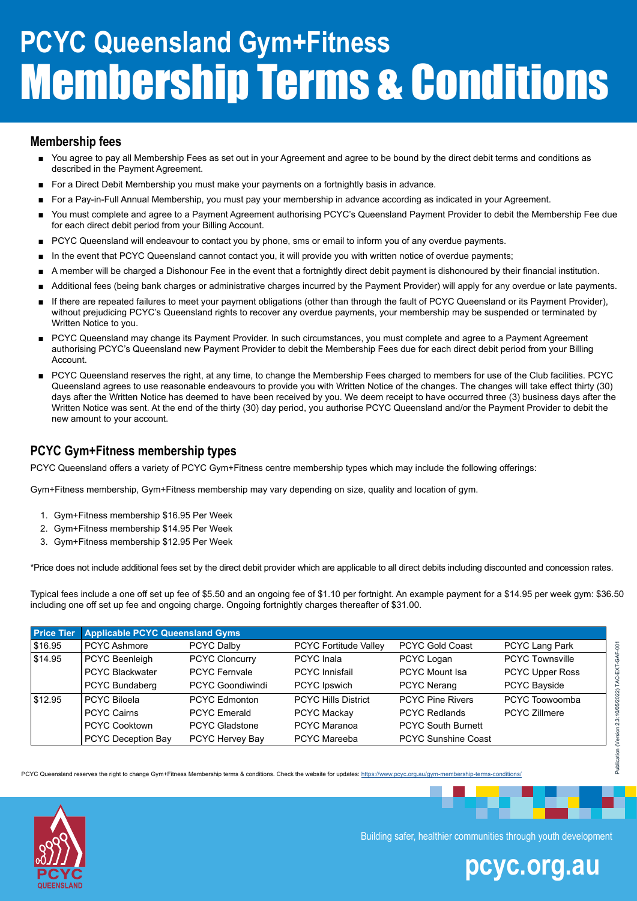#### **Membership fees**

- You agree to pay all Membership Fees as set out in your Agreement and agree to be bound by the direct debit terms and conditions as described in the Payment Agreement.
- For a Direct Debit Membership you must make your payments on a fortnightly basis in advance.
- For a Pay-in-Full Annual Membership, you must pay your membership in advance according as indicated in your Agreement.
- You must complete and agree to a Payment Agreement authorising PCYC's Queensland Payment Provider to debit the Membership Fee due for each direct debit period from your Billing Account.
- PCYC Queensland will endeavour to contact you by phone, sms or email to inform you of any overdue payments.
- In the event that PCYC Queensland cannot contact you, it will provide you with written notice of overdue payments;
- A member will be charged a Dishonour Fee in the event that a fortnightly direct debit payment is dishonoured by their financial institution.
- Additional fees (being bank charges or administrative charges incurred by the Payment Provider) will apply for any overdue or late payments.
- If there are repeated failures to meet your payment obligations (other than through the fault of PCYC Queensland or its Payment Provider), without prejudicing PCYC's Queensland rights to recover any overdue payments, your membership may be suspended or terminated by Written Notice to you.
- PCYC Queensland may change its Payment Provider. In such circumstances, you must complete and agree to a Payment Agreement authorising PCYC's Queensland new Payment Provider to debit the Membership Fees due for each direct debit period from your Billing Account.
- PCYC Queensland reserves the right, at any time, to change the Membership Fees charged to members for use of the Club facilities. PCYC Queensland agrees to use reasonable endeavours to provide you with Written Notice of the changes. The changes will take effect thirty (30) days after the Written Notice has deemed to have been received by you. We deem receipt to have occurred three (3) business days after the Written Notice was sent. At the end of the thirty (30) day period, you authorise PCYC Queensland and/or the Payment Provider to debit the new amount to your account.

### **PCYC Gym+Fitness membership types**

PCYC Queensland offers a variety of PCYC Gym+Fitness centre membership types which may include the following offerings:

Gym+Fitness membership, Gym+Fitness membership may vary depending on size, quality and location of gym.

- 1. Gym+Fitness membership \$16.95 Per Week
- 2. Gym+Fitness membership \$14.95 Per Week
- 3. Gym+Fitness membership \$12.95 Per Week

\*Price does not include additional fees set by the direct debit provider which are applicable to all direct debits including discounted and concession rates.

Typical fees include a one off set up fee of \$5.50 and an ongoing fee of \$1.10 per fortnight. An example payment for a \$14.95 per week gym: \$36.50 including one off set up fee and ongoing charge. Ongoing fortnightly charges thereafter of \$31.00.

| <b>Price Tier</b> | <b>Applicable PCYC Queensland Gyms</b> |                         |                              |                            |                        |
|-------------------|----------------------------------------|-------------------------|------------------------------|----------------------------|------------------------|
| \$16.95           | <b>PCYC Ashmore</b>                    | PCYC Dalby              | <b>PCYC Fortitude Valley</b> | <b>PCYC Gold Coast</b>     | PCYC Lang Park         |
| \$14.95           | PCYC Beenleigh                         | <b>PCYC Cloncurry</b>   | <b>PCYC</b> Inala            | PCYC Logan                 | <b>PCYC Townsville</b> |
|                   | <b>PCYC Blackwater</b>                 | <b>PCYC Fernyale</b>    | <b>PCYC</b> Innisfail        | <b>PCYC Mount Isa</b>      | <b>PCYC Upper Ross</b> |
|                   | PCYC Bundaberg                         | <b>PCYC Goondiwindi</b> | PCYC Ipswich                 | <b>PCYC Nerang</b>         | <b>PCYC Bayside</b>    |
| \$12.95           | <b>PCYC Biloela</b>                    | PCYC Edmonton           | <b>PCYC Hills District</b>   | <b>PCYC Pine Rivers</b>    | PCYC Toowoomba         |
|                   | <b>PCYC Cairns</b>                     | <b>PCYC</b> Emerald     | <b>PCYC Mackay</b>           | <b>PCYC Redlands</b>       | <b>PCYC Zillmere</b>   |
|                   | <b>PCYC Cooktown</b>                   | <b>PCYC Gladstone</b>   | <b>PCYC Maranoa</b>          | <b>PCYC South Burnett</b>  |                        |
|                   | PCYC Deception Bay                     | PCYC Hervey Bay         | <b>PCYC Mareeba</b>          | <b>PCYC Sunshine Coast</b> |                        |

PCYC Queensland reserves the right to change Gym+Fitness Membership terms & conditions. Check the website for updates: <https://www.pcyc.org.au/gym-membership-terms-conditions/>

Building safer, healthier communities through youth development

### **pcyc.org.au**

Publication (Version 2.3:10/05/2022) TAC-EXT-GAF-001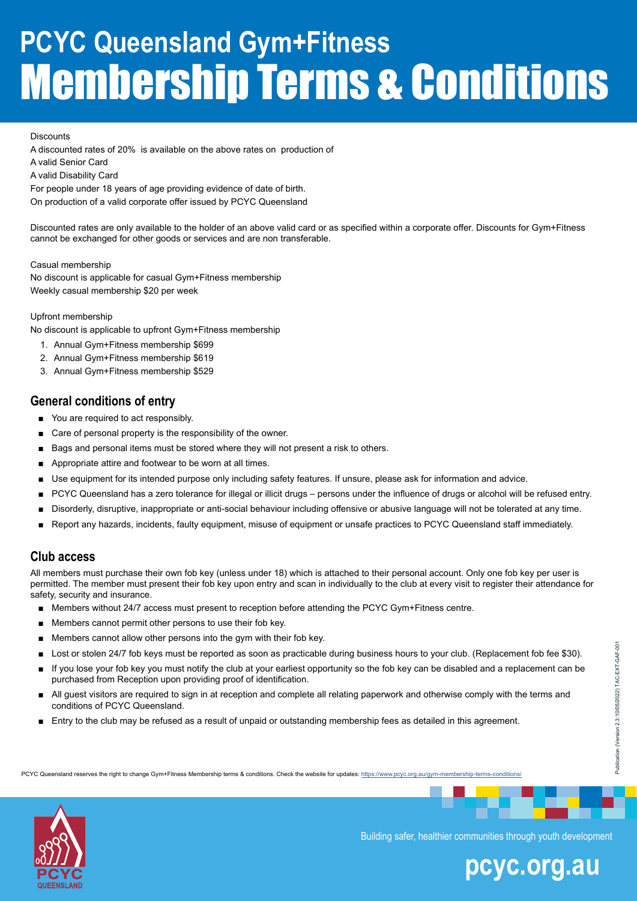#### **Discounts**

A discounted rates of 20% is available on the above rates on production of

A valid Senior Card

A valid Disability Card

For people under 18 years of age providing evidence of date of birth. On production of a valid corporate offer issued by PCYC Queensland

Discounted rates are only available to the holder of an above valid card or as specified within a corporate offer. Discounts for Gym+Fitness cannot be exchanged for other goods or services and are non transferable.

Casual membership No discount is applicable for casual Gym+Fitness membership Weekly casual membership \$20 per week

#### Upfront membership

No discount is applicable to upfront Gym+Fitness membership

- 1. Annual Gym+Fitness membership \$699
- 2. Annual Gym+Fitness membership \$619
- 3. Annual Gym+Fitness membership \$529

### **General conditions of entry**

- You are required to act responsibly.
- Care of personal property is the responsibility of the owner.
- Bags and personal items must be stored where they will not present a risk to others.
- Appropriate attire and footwear to be worn at all times.
- Use equipment for its intended purpose only including safety features. If unsure, please ask for information and advice.
- PCYC Queensland has a zero tolerance for illegal or illicit drugs persons under the influence of drugs or alcohol will be refused entry.
- Disorderly, disruptive, inappropriate or anti-social behaviour including offensive or abusive language will not be tolerated at any time.
- Report any hazards, incidents, faulty equipment, misuse of equipment or unsafe practices to PCYC Queensland staff immediately.

#### **Club access**

All members must purchase their own fob key (unless under 18) which is attached to their personal account. Only one fob key per user is permitted. The member must present their fob key upon entry and scan in individually to the club at every visit to register their attendance for safety, security and insurance.

- Members without 24/7 access must present to reception before attending the PCYC Gym+Fitness centre.
- Members cannot permit other persons to use their fob key.
- Members cannot allow other persons into the gym with their fob key.
- Lost or stolen 24/7 fob keys must be reported as soon as practicable during business hours to your club. (Replacement fob fee \$30).
- If you lose your fob key you must notify the club at your earliest opportunity so the fob key can be disabled and a replacement can be purchased from Reception upon providing proof of identification.
- All guest visitors are required to sign in at reception and complete all relating paperwork and otherwise comply with the terms and conditions of PCYC Queensland.
- Entry to the club may be refused as a result of unpaid or outstanding membership fees as detailed in this agreement.

PCYC Queensland reserves the right to change Gym+Fitness Membership terms & conditions. Check the website for updates: <https://www.pcyc.org.au/gym-membership-terms-conditions/>



Building safer, healthier communities through youth development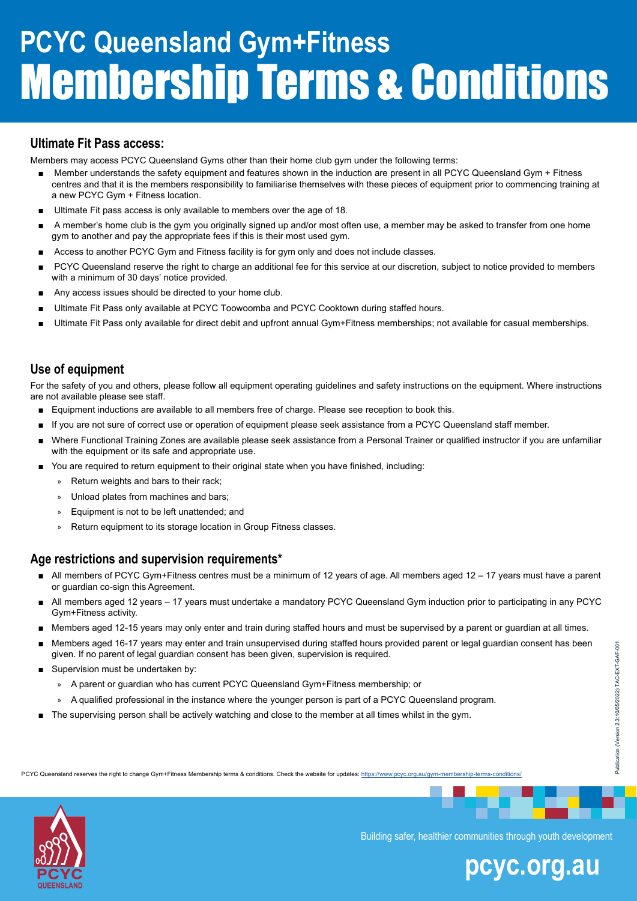### **Ultimate Fit Pass access:**

Members may access PCYC Queensland Gyms other than their home club gym under the following terms:

- Member understands the safety equipment and features shown in the induction are present in all PCYC Queensland Gym + Fitness centres and that it is the members responsibility to familiarise themselves with these pieces of equipment prior to commencing training at a new PCYC Gym + Fitness location.
- Ultimate Fit pass access is only available to members over the age of 18.
- A member's home club is the gym you originally signed up and/or most often use, a member may be asked to transfer from one home gym to another and pay the appropriate fees if this is their most used gym.
- Access to another PCYC Gym and Fitness facility is for gym only and does not include classes.
- PCYC Queensland reserve the right to charge an additional fee for this service at our discretion, subject to notice provided to members with a minimum of 30 days' notice provided.
- Any access issues should be directed to your home club.
- Ultimate Fit Pass only available at PCYC Toowoomba and PCYC Cooktown during staffed hours.
- Ultimate Fit Pass only available for direct debit and upfront annual Gym+Fitness memberships; not available for casual memberships.

### **Use of equipment**

For the safety of you and others, please follow all equipment operating guidelines and safety instructions on the equipment. Where instructions are not available please see staff.

- Equipment inductions are available to all members free of charge. Please see reception to book this.
- If you are not sure of correct use or operation of equipment please seek assistance from a PCYC Queensland staff member.
- Where Functional Training Zones are available please seek assistance from a Personal Trainer or qualified instructor if you are unfamiliar with the equipment or its safe and appropriate use.
- You are required to return equipment to their original state when you have finished, including:
	- » Return weights and bars to their rack;
	- » Unload plates from machines and bars;
	- » Equipment is not to be left unattended; and
	- » Return equipment to its storage location in Group Fitness classes.

#### **Age restrictions and supervision requirements\***

- All members of PCYC Gym+Fitness centres must be a minimum of 12 years of age. All members aged 12 17 years must have a parent or guardian co-sign this Agreement.
- All members aged 12 years 17 years must undertake a mandatory PCYC Queensland Gym induction prior to participating in any PCYC Gym+Fitness activity.
- Members aged 12-15 years may only enter and train during staffed hours and must be supervised by a parent or guardian at all times.
- Members aged 16-17 years may enter and train unsupervised during staffed hours provided parent or legal guardian consent has been given. If no parent of legal guardian consent has been given, supervision is required.
- Supervision must be undertaken by:
	- » A parent or guardian who has current PCYC Queensland Gym+Fitness membership; or
	- » A qualified professional in the instance where the younger person is part of a PCYC Queensland program.
- The supervising person shall be actively watching and close to the member at all times whilst in the gym.

PCYC Queensland reserves the right to change Gym+Fitness Membership terms & conditions. Check the website for updates: <https://www.pcyc.org.au/gym-membership-terms-conditions/>



Building safer, healthier communities through youth development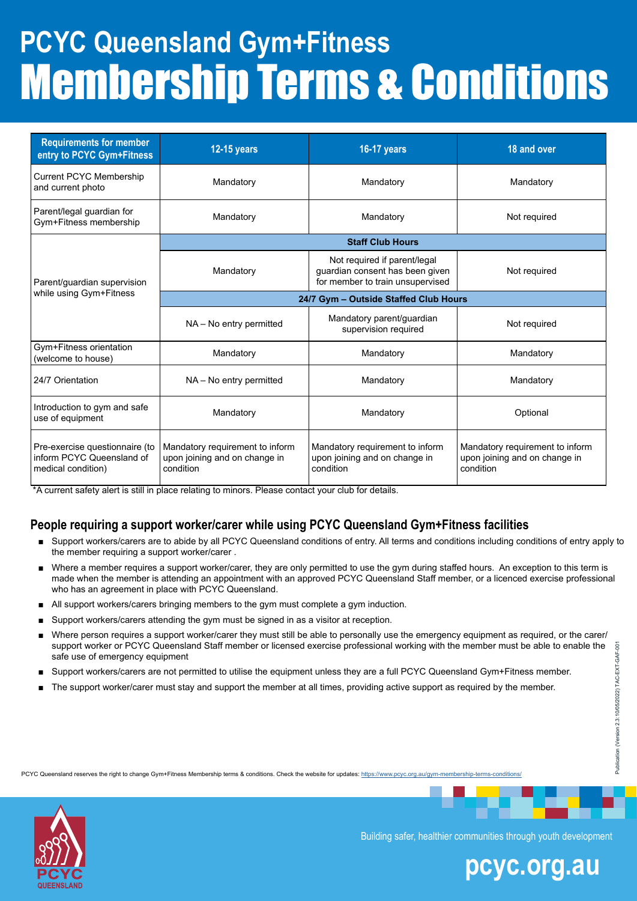| <b>Requirements for member</b><br>entry to PCYC Gym+Fitness                       | <b>12-15 years</b>                                                            | <b>16-17 years</b>                                                                                  | 18 and over                                                                   |  |  |
|-----------------------------------------------------------------------------------|-------------------------------------------------------------------------------|-----------------------------------------------------------------------------------------------------|-------------------------------------------------------------------------------|--|--|
| <b>Current PCYC Membership</b><br>and current photo                               | Mandatory                                                                     | Mandatory                                                                                           | Mandatory                                                                     |  |  |
| Parent/legal guardian for<br>Gym+Fitness membership                               | Mandatory                                                                     | Mandatory                                                                                           | Not required                                                                  |  |  |
|                                                                                   | <b>Staff Club Hours</b>                                                       |                                                                                                     |                                                                               |  |  |
| Parent/guardian supervision                                                       | Mandatory                                                                     | Not required if parent/legal<br>guardian consent has been given<br>for member to train unsupervised | Not required                                                                  |  |  |
| while using Gym+Fitness                                                           | 24/7 Gym - Outside Staffed Club Hours                                         |                                                                                                     |                                                                               |  |  |
|                                                                                   | NA - No entry permitted                                                       | Mandatory parent/guardian<br>supervision required                                                   | Not required                                                                  |  |  |
| Gym+Fitness orientation<br>(welcome to house)                                     | Mandatory                                                                     | Mandatory                                                                                           | Mandatory                                                                     |  |  |
| 24/7 Orientation                                                                  | NA - No entry permitted                                                       | Mandatory                                                                                           | Mandatory                                                                     |  |  |
| Introduction to gym and safe<br>use of equipment                                  | Mandatory                                                                     | Mandatory                                                                                           | Optional                                                                      |  |  |
| Pre-exercise questionnaire (to<br>inform PCYC Queensland of<br>medical condition) | Mandatory requirement to inform<br>upon joining and on change in<br>condition | Mandatory requirement to inform<br>upon joining and on change in<br>condition                       | Mandatory requirement to inform<br>upon joining and on change in<br>condition |  |  |

\*A current safety alert is still in place relating to minors. Please contact your club for details.

### **People requiring a support worker/carer while using PCYC Queensland Gym+Fitness facilities**

- Support workers/carers are to abide by all PCYC Queensland conditions of entry. All terms and conditions including conditions of entry apply to the member requiring a support worker/carer .
- Where a member requires a support worker/carer, they are only permitted to use the gym during staffed hours. An exception to this term is made when the member is attending an appointment with an approved PCYC Queensland Staff member, or a licenced exercise professional who has an agreement in place with PCYC Queensland.
- All support workers/carers bringing members to the gym must complete a gym induction.
- Support workers/carers attending the gym must be signed in as a visitor at reception.
- Where person requires a support worker/carer they must still be able to personally use the emergency equipment as required, or the carer/ support worker or PCYC Queensland Staff member or licensed exercise professional working with the member must be able to enable the safe use of emergency equipment
- Support workers/carers are not permitted to utilise the equipment unless they are a full PCYC Queensland Gym+Fitness member.
- The support worker/carer must stay and support the member at all times, providing active support as required by the member.



Building safer, healthier communities through youth development

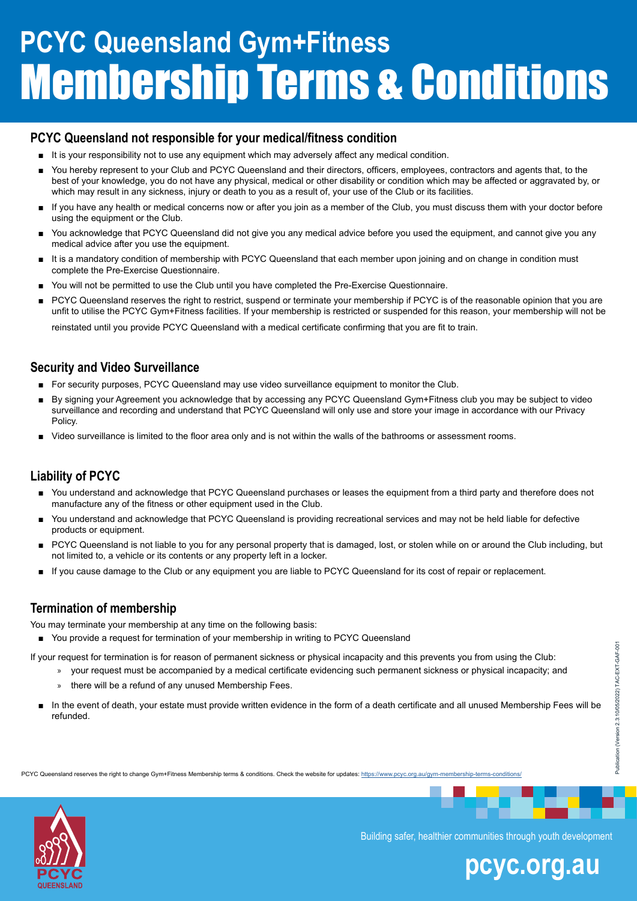### **PCYC Queensland not responsible for your medical/fitness condition**

- It is your responsibility not to use any equipment which may adversely affect any medical condition.
- You hereby represent to your Club and PCYC Queensland and their directors, officers, employees, contractors and agents that, to the best of your knowledge, you do not have any physical, medical or other disability or condition which may be affected or aggravated by, or which may result in any sickness, injury or death to you as a result of, your use of the Club or its facilities.
- If you have any health or medical concerns now or after you join as a member of the Club, you must discuss them with your doctor before using the equipment or the Club.
- You acknowledge that PCYC Queensland did not give you any medical advice before you used the equipment, and cannot give you any medical advice after you use the equipment.
- It is a mandatory condition of membership with PCYC Queensland that each member upon joining and on change in condition must complete the Pre-Exercise Questionnaire.
- You will not be permitted to use the Club until you have completed the Pre-Exercise Questionnaire.
- PCYC Queensland reserves the right to restrict, suspend or terminate your membership if PCYC is of the reasonable opinion that you are unfit to utilise the PCYC Gym+Fitness facilities. If your membership is restricted or suspended for this reason, your membership will not be

reinstated until you provide PCYC Queensland with a medical certificate confirming that you are fit to train.

### **Security and Video Surveillance**

- For security purposes, PCYC Queensland may use video surveillance equipment to monitor the Club.
- By signing your Agreement you acknowledge that by accessing any PCYC Queensland Gym+Fitness club you may be subject to video surveillance and recording and understand that PCYC Queensland will only use and store your image in accordance with our Privacy Policy.
- Video surveillance is limited to the floor area only and is not within the walls of the bathrooms or assessment rooms.

### **Liability of PCYC**

- You understand and acknowledge that PCYC Queensland purchases or leases the equipment from a third party and therefore does not manufacture any of the fitness or other equipment used in the Club.
- You understand and acknowledge that PCYC Queensland is providing recreational services and may not be held liable for defective products or equipment.
- PCYC Queensland is not liable to you for any personal property that is damaged, lost, or stolen while on or around the Club including, but not limited to, a vehicle or its contents or any property left in a locker.
- If you cause damage to the Club or any equipment you are liable to PCYC Queensland for its cost of repair or replacement.

### **Termination of membership**

You may terminate your membership at any time on the following basis:

■ You provide a request for termination of your membership in writing to PCYC Queensland

If your request for termination is for reason of permanent sickness or physical incapacity and this prevents you from using the Club:

- » your request must be accompanied by a medical certificate evidencing such permanent sickness or physical incapacity; and
	- » there will be a refund of any unused Membership Fees.
- In the event of death, your estate must provide written evidence in the form of a death certificate and all unused Membership Fees will be refunded.

PCYC Queensland reserves the right to change Gym+Fitness Membership terms & conditions. Check the website for updates: <https://www.pcyc.org.au/gym-membership-terms-conditions/>



Building safer, healthier communities through youth development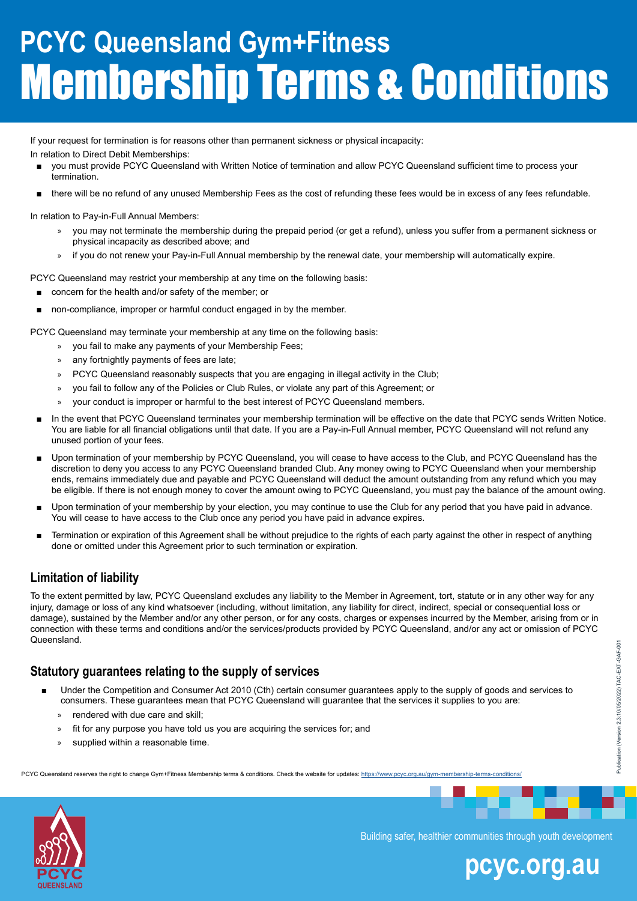If your request for termination is for reasons other than permanent sickness or physical incapacity:

In relation to Direct Debit Memberships:

- you must provide PCYC Queensland with Written Notice of termination and allow PCYC Queensland sufficient time to process your termination.
- there will be no refund of any unused Membership Fees as the cost of refunding these fees would be in excess of any fees refundable.

In relation to Pay-in-Full Annual Members:

- » you may not terminate the membership during the prepaid period (or get a refund), unless you suffer from a permanent sickness or physical incapacity as described above; and
- » if you do not renew your Pay-in-Full Annual membership by the renewal date, your membership will automatically expire.

PCYC Queensland may restrict your membership at any time on the following basis:

- concern for the health and/or safety of the member; or
- non-compliance, improper or harmful conduct engaged in by the member.

PCYC Queensland may terminate your membership at any time on the following basis:

- » you fail to make any payments of your Membership Fees;
- » any fortnightly payments of fees are late;
- » PCYC Queensland reasonably suspects that you are engaging in illegal activity in the Club;
- » you fail to follow any of the Policies or Club Rules, or violate any part of this Agreement; or
- » your conduct is improper or harmful to the best interest of PCYC Queensland members.
- In the event that PCYC Queensland terminates your membership termination will be effective on the date that PCYC sends Written Notice. You are liable for all financial obligations until that date. If you are a Pay-in-Full Annual member, PCYC Queensland will not refund any unused portion of your fees.
- Upon termination of your membership by PCYC Queensland, you will cease to have access to the Club, and PCYC Queensland has the discretion to deny you access to any PCYC Queensland branded Club. Any money owing to PCYC Queensland when your membership ends, remains immediately due and payable and PCYC Queensland will deduct the amount outstanding from any refund which you may be eligible. If there is not enough money to cover the amount owing to PCYC Queensland, you must pay the balance of the amount owing.
- Upon termination of your membership by your election, you may continue to use the Club for any period that you have paid in advance. You will cease to have access to the Club once any period you have paid in advance expires.
- Termination or expiration of this Agreement shall be without prejudice to the rights of each party against the other in respect of anything done or omitted under this Agreement prior to such termination or expiration.

### **Limitation of liability**

To the extent permitted by law, PCYC Queensland excludes any liability to the Member in Agreement, tort, statute or in any other way for any injury, damage or loss of any kind whatsoever (including, without limitation, any liability for direct, indirect, special or consequential loss or damage), sustained by the Member and/or any other person, or for any costs, charges or expenses incurred by the Member, arising from or in connection with these terms and conditions and/or the services/products provided by PCYC Queensland, and/or any act or omission of PCYC Queensland.

### **Statutory guarantees relating to the supply of services**

- Under the Competition and Consumer Act 2010 (Cth) certain consumer guarantees apply to the supply of goods and services to consumers. These guarantees mean that PCYC Queensland will guarantee that the services it supplies to you are:
	- » rendered with due care and skill;
	- » fit for any purpose you have told us you are acquiring the services for; and
	- » supplied within a reasonable time.

PCYC Queensland reserves the right to change Gym+Fitness Membership terms & conditions. Check the website for updates: <https://www.pcyc.org.au/gym-membership-terms-conditions/>



Building safer, healthier communities through youth development